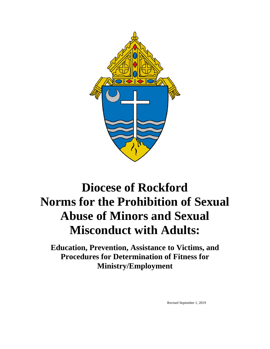

# **Diocese of Rockford Norms for the Prohibition of Sexual Abuse of Minors and Sexual Misconduct with Adults:**

**Education, Prevention, Assistance to Victims, and Procedures for Determination of Fitness for Ministry/Employment**

Revised September 1, 2019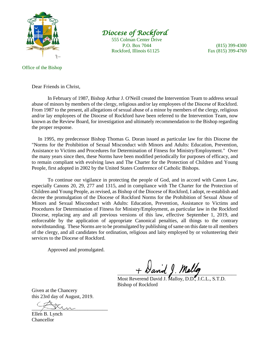

# *Diocese of Rockford*

555 Colman Center Drive P.O. Box 7044 (815) 399-4300 Rockford, Illinois 61125 Fax (815) 399-4769

#### Office of the Bishop

Dear Friends in Christ,

In February of 1987, Bishop Arthur J. O'Neill created the Intervention Team to address sexual abuse of minors by members of the clergy, religious and/or lay employees of the Diocese of Rockford. From 1987 to the present, all allegations of sexual abuse of a minor by members of the clergy, religious and/or lay employees of the Diocese of Rockford have been referred to the Intervention Team, now known as the Review Board, for investigation and ultimately recommendation to the Bishop regarding the proper response.

 In 1995, my predecessor Bishop Thomas G. Doran issued as particular law for this Diocese the "Norms for the Prohibition of Sexual Misconduct with Minors and Adults: Education, Prevention, Assistance to Victims and Procedures for Determination of Fitness for Ministry/Employment." Over the many years since then, these Norms have been modified periodically for purposes of efficacy, and to remain compliant with evolving laws and The Charter for the Protection of Children and Young People, first adopted in 2002 by the United States Conference of Catholic Bishops.

To continue our vigilance in protecting the people of God, and in accord with Canon Law, especially Canons 20, 29, 277 and 1315, and in compliance with The Charter for the Protection of Children and Young People, as revised, as Bishop of the Diocese of Rockford, I adopt, re-establish and decree the promulgation of the Diocese of Rockford Norms for the Prohibition of Sexual Abuse of Minors and Sexual Misconduct with Adults: Education, Prevention, Assistance to Victims and Procedures for Determination of Fitness for Ministry/Employment, as particular law in the Rockford Diocese, replacing any and all previous versions of this law, effective September 1, 2019, and enforceable by the application of appropriate Canonical penalties, all things to the contrary notwithstanding. These Norms are to be promulgated by publishing of same on this date to all members of the clergy, and all candidates for ordination, religious and laity employed by or volunteering their services to the Diocese of Rockford.

Approved and promulgated.

 $+$  David J. Malloy

Most Reverend David J. Malloy, D.D., J.C.L., S.T.D. Bishop of Rockford

Given at the Chancery this 23rd day of August, 2019.

 $\frac{1}{2}$   $\frac{1}{2}$ 

Ellen B. Lynch Chancellor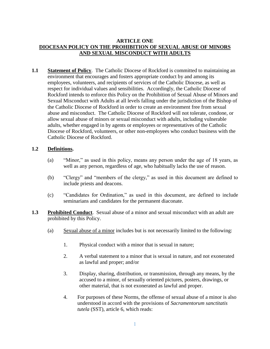#### **ARTICLE ONE DIOCESAN POLICY ON THE PROHIBITION OF SEXUAL ABUSE OF MINORS AND SEXUAL MISCONDUCT WITH ADULTS**

**1.1 Statement of Policy**. The Catholic Diocese of Rockford is committed to maintaining an environment that encourages and fosters appropriate conduct by and among its employees, volunteers, and recipients of services of the Catholic Diocese, as well as respect for individual values and sensibilities. Accordingly, the Catholic Diocese of Rockford intends to enforce this Policy on the Prohibition of Sexual Abuse of Minors and Sexual Misconduct with Adults at all levels falling under the jurisdiction of the Bishop of the Catholic Diocese of Rockford in order to create an environment free from sexual abuse and misconduct. The Catholic Diocese of Rockford will not tolerate, condone, or allow sexual abuse of minors or sexual misconduct with adults, including vulnerable adults, whether engaged in by agents or employees or representatives of the Catholic Diocese of Rockford, volunteers, or other non-employees who conduct business with the Catholic Diocese of Rockford.

#### **1.2 Definitions.**

- (a) "Minor," as used in this policy, means any person under the age of 18 years, as well as any person, regardless of age, who habitually lacks the use of reason.
- (b) "Clergy" and "members of the clergy," as used in this document are defined to include priests and deacons.
- (c) "Candidates for Ordination," as used in this document, are defined to include seminarians and candidates for the permanent diaconate.
- **1.3 Prohibited Conduct**. Sexual abuse of a minor and sexual misconduct with an adult are prohibited by this Policy.
	- (a) Sexual abuse of a minor includes but is not necessarily limited to the following:
		- 1. Physical conduct with a minor that is sexual in nature;
		- 2. A verbal statement to a minor that is sexual in nature, and not exonerated as lawful and proper; and/or
		- 3. Display, sharing, distribution, or transmission, through any means, by the accused to a minor, of sexually oriented pictures, posters, drawings, or other material, that is not exonerated as lawful and proper.
		- 4. For purposes of these Norms, the offense of sexual abuse of a minor is also understood in accord with the provisions of *Sacramentorum sanctitatis tutela* (SST), article 6, which reads: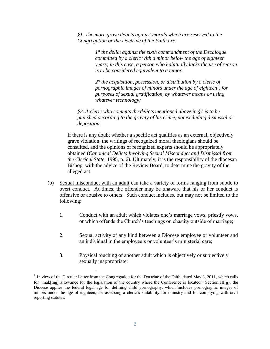*§1. The more grave delicts against morals which are reserved to the Congregation or the Doctrine of the Faith are:*

> *1° the delict against the sixth commandment of the Decalogue committed by a cleric with a minor below the age of eighteen years; in this case, a person who habitually lacks the use of reason is to be considered equivalent to a minor.*

*2° the acquisition, possession, or distribution by a cleric of pornographic images of minors under the age of eighteen<sup>1</sup> , for purposes of sexual gratification, by whatever means or using whatever technology;* 

*§2. A cleric who commits the delicts mentioned above in §1 is to be punished according to the gravity of his crime, not excluding dismissal or deposition.*

If there is any doubt whether a specific act qualifies as an external, objectively grave violation, the writings of recognized moral theologians should be consulted, and the opinions of recognized experts should be appropriately obtained (*Canonical Delicts Involving Sexual Misconduct and Dismissal from the Clerical State*, 1995, p. 6). Ultimately, it is the responsibility of the diocesan Bishop, with the advice of the Review Board, to determine the gravity of the alleged act.

- (b) Sexual misconduct with an adult can take a variety of forms ranging from subtle to overt conduct. At times, the offender may be unaware that his or her conduct is offensive or abusive to others. Such conduct includes, but may not be limited to the following:
	- 1. Conduct with an adult which violates one's marriage vows, priestly vows, or which offends the Church's teachings on chastity outside of marriage;
	- 2. Sexual activity of any kind between a Diocese employee or volunteer and an individual in the employee's or volunteer's ministerial care;
	- 3. Physical touching of another adult which is objectively or subjectively sexually inappropriate;

<sup>&</sup>lt;sup>1</sup> In view of the Circular Letter from the Congregation for the Doctrine of the Faith, dated May 3, 2011, which calls for "mak[ing] allowance for the legislation of the country where the Conference is located," Section III(g), the Diocese applies the federal legal age for defining child pornography, which includes pornographic images of minors under the age of eighteen, for assessing a cleric's suitability for ministry and for complying with civil reporting statutes.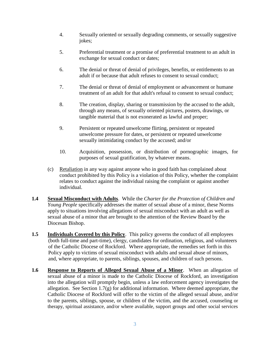- 4. Sexually oriented or sexually degrading comments, or sexually suggestive jokes;
- 5. Preferential treatment or a promise of preferential treatment to an adult in exchange for sexual conduct or dates;
- 6. The denial or threat of denial of privileges, benefits, or entitlements to an adult if or because that adult refuses to consent to sexual conduct;
- 7. The denial or threat of denial of employment or advancement or humane treatment of an adult for that adult's refusal to consent to sexual conduct;
- 8. The creation, display, sharing or transmission by the accused to the adult, through any means, of sexually oriented pictures, posters, drawings, or tangible material that is not exonerated as lawful and proper;
- 9. Persistent or repeated unwelcome flirting, persistent or repeated unwelcome pressure for dates, or persistent or repeated unwelcome sexually intimidating conduct by the accused; and/or
- 10. Acquisition, possession, or distribution of pornographic images, for purposes of sexual gratification, by whatever means.
- (c) Retaliation in any way against anyone who in good faith has complained about conduct prohibited by this Policy is a violation of this Policy, whether the complaint relates to conduct against the individual raising the complaint or against another individual.
- **1.4 Sexual Misconduct with Adults**. While the *Charter for the Protection of Children and Young People* specifically addresses the matter of sexual abuse of a minor, these Norms apply to situations involving allegations of sexual misconduct with an adult as well as sexual abuse of a minor that are brought to the attention of the Review Board by the Diocesan Bishop.
- **1.5 Individuals Covered by this Policy**. This policy governs the conduct of all employees (both full-time and part-time), clergy, candidates for ordination, religious, and volunteers of the Catholic Diocese of Rockford. Where appropriate, the remedies set forth in this Policy apply to victims of sexual misconduct with adults and sexual abuse of minors, and, where appropriate, to parents, siblings, spouses, and children of such persons.
- **1.6 Response to Reports of Alleged Sexual Abuse of a Minor**. When an allegation of sexual abuse of a minor is made to the Catholic Diocese of Rockford, an investigation into the allegation will promptly begin, unless a law enforcement agency investigates the allegation. See Section 1.7(g) for additional information. Where deemed appropriate, the Catholic Diocese of Rockford will offer to the victim of the alleged sexual abuse, and/or to the parents, siblings, spouse, or children of the victim, and the accused, counseling or therapy, spiritual assistance, and/or where available, support groups and other social services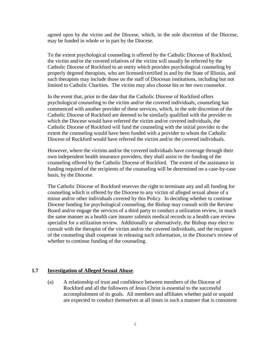agreed upon by the victim and the Diocese, which, in the sole discretion of the Diocese, may be funded in whole or in part by the Diocese.

To the extent psychological counseling is offered by the Catholic Diocese of Rockford, the victim and/or the covered relatives of the victim will usually be referred by the Catholic Diocese of Rockford to an entity which provides psychological counseling by properly degreed therapists, who are licensed/certified in and by the State of Illinois, and such therapists may include those on the staff of Diocesan institutions, including but not limited to Catholic Charities. The victim may also choose his or her own counselor.

In the event that, prior to the date that the Catholic Diocese of Rockford offers psychological counseling to the victim and/or the covered individuals, counseling has commenced with another provider of these services, which, in the sole discretion of the Catholic Diocese of Rockford are deemed to be similarly qualified with the provider to which the Diocese would have referred the victim and/or covered individuals, the Catholic Diocese of Rockford will fund the counseling with the initial provider to the extent the counseling would have been funded with a provider to whom the Catholic Diocese of Rockford would have referred the victim and/or the covered individuals.

However, where the victims and/or the covered individuals have coverage through their own independent health insurance providers, they shall assist in the funding of the counseling offered by the Catholic Diocese of Rockford. The extent of the assistance in funding required of the recipients of the counseling will be determined on a case-by-case basis, by the Diocese.

The Catholic Diocese of Rockford reserves the right to terminate any and all funding for counseling which is offered by the Diocese to any victim of alleged sexual abuse of a minor and/or other individuals covered by this Policy. In deciding whether to continue Diocese funding for psychological counseling, the Bishop may consult with the Review Board and/or engage the services of a third party to conduct a utilization review, in much the same manner as a health care insurer submits medical records to a health care review specialist for a utilization review. Additionally or alternatively, the Bishop may elect to consult with the therapist of the victim and/or the covered individuals, and the recipient of the counseling shall cooperate in releasing such information, in the Diocese's review of whether to continue funding of the counseling.

#### **1.7 Investigation of Alleged Sexual Abuse**.

(a) A relationship of trust and confidence between members of the Diocese of Rockford and all the followers of Jesus Christ is essential to the successful accomplishment of its goals. All members and affiliates whether paid or unpaid are expected to conduct themselves at all times in such a manner that is consistent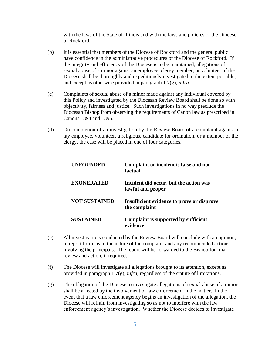with the laws of the State of Illinois and with the laws and policies of the Diocese of Rockford.

- (b) It is essential that members of the Diocese of Rockford and the general public have confidence in the administrative procedures of the Diocese of Rockford. If the integrity and efficiency of the Diocese is to be maintained, allegations of sexual abuse of a minor against an employee, clergy member, or volunteer of the Diocese shall be thoroughly and expeditiously investigated to the extent possible, and except as otherwise provided in paragraph 1.7(g), *infra*.
- (c) Complaints of sexual abuse of a minor made against any individual covered by this Policy and investigated by the Diocesan Review Board shall be done so with objectivity, fairness and justice. Such investigations in no way preclude the Diocesan Bishop from observing the requirements of Canon law as prescribed in Canons 1394 and 1395.
- (d) On completion of an investigation by the Review Board of a complaint against a lay employee, volunteer, a religious, candidate for ordination, or a member of the clergy, the case will be placed in one of four categories.

| <b>UNFOUNDED</b>     | Complaint or incident is false and not<br>factual           |
|----------------------|-------------------------------------------------------------|
| <b>EXONERATED</b>    | Incident did occur, but the action was<br>lawful and proper |
| <b>NOT SUSTAINED</b> | Insufficient evidence to prove or disprove<br>the complaint |
| <b>SUSTAINED</b>     | Complaint is supported by sufficient<br>evidence            |

- (e) All investigations conducted by the Review Board will conclude with an opinion, in report form, as to the nature of the complaint and any recommended actions involving the principals. The report will be forwarded to the Bishop for final review and action, if required.
- (f) The Diocese will investigate all allegations brought to its attention, except as provided in paragraph 1.7(g), *infra,* regardless of the statute of limitations.
- (g) The obligation of the Diocese to investigate allegations of sexual abuse of a minor shall be affected by the involvement of law enforcement in the matter. In the event that a law enforcement agency begins an investigation of the allegation, the Diocese will refrain from investigating so as not to interfere with the law enforcement agency's investigation. Whether the Diocese decides to investigate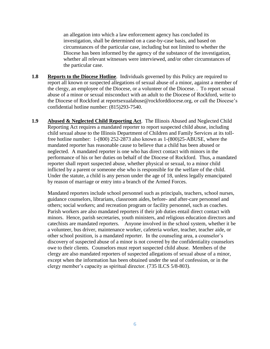an allegation into which a law enforcement agency has concluded its investigation, shall be determined on a case-by-case basis, and based on circumstances of the particular case, including but not limited to whether the Diocese has been informed by the agency of the substance of the investigation, whether all relevant witnesses were interviewed, and/or other circumstances of the particular case.

- **1.8 Reports to the Diocese Hotline**. Individuals governed by this Policy are required to report all known or suspected allegations of sexual abuse of a minor, against a member of the clergy, an employee of the Diocese, or a volunteer of the Diocese. . To report sexual abuse of a minor or sexual misconduct with an adult to the Diocese of Rockford, write to the Diocese of Rockford at reportsexualabuse@rockforddiocese.org, or call the Diocese's confidential hotline number: (815)293-7540.
- **1.9 Abused & Neglected Child Reporting Act**. The Illinois Abused and Neglected Child Reporting Act requires a mandated reporter to report suspected child abuse, including child sexual abuse to the Illinois Department of Children and Family Services at its tollfree hotline number: 1-(800) 252-2873 also known as 1-(800)25-ABUSE, where the mandated reporter has reasonable cause to believe that a child has been abused or neglected. A mandated reporter is one who has direct contact with minors in the performance of his or her duties on behalf of the Diocese of Rockford. Thus, a mandated reporter shall report suspected abuse, whether physical or sexual, to a minor child inflicted by a parent or someone else who is responsible for the welfare of the child. Under the statute, a child is any person under the age of 18, unless legally emancipated by reason of marriage or entry into a branch of the Armed Forces.

Mandated reporters include school personnel such as principals, teachers, school nurses, guidance counselors, librarians, classroom aides, before- and after-care personnel and others; social workers; and recreation program or facility personnel, such as coaches. Parish workers are also mandated reporters if their job duties entail direct contact with minors. Hence, parish secretaries, youth ministers, and religious education directors and catechists are mandated reporters. Anyone involved in the school system, whether it be a volunteer, bus driver, maintenance worker, cafeteria worker, teacher, teacher aide, or other school position, is a mandated reporter. In the counseling area, a counselor's discovery of suspected abuse of a minor is not covered by the confidentiality counselors owe to their clients. Counselors must report suspected child abuse. Members of the clergy are also mandated reporters of suspected allegations of sexual abuse of a minor, except when the information has been obtained under the seal of confession, or in the clergy member's capacity as spiritual director. (735 ILCS 5/8-803).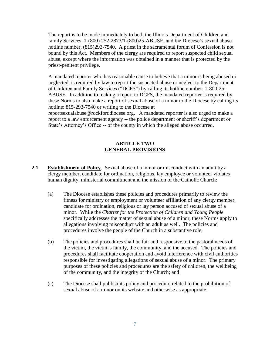The report is to be made immediately to both the Illinois Department of Children and family Services, 1-(800) 252-2873/1-(800)25-ABUSE, and the Diocese's sexual abuse hotline number,  $(815)293-7540$ . A priest in the sacramental forum of Confession is not bound by this Act. Members of the clergy are required to report suspected child sexual abuse, except where the information was obtained in a manner that is protected by the priest-penitent privilege.

A mandated reporter who has reasonable cause to believe that a minor is being abused or neglected, is required by law to report the suspected abuse or neglect to the Department of Children and Family Services ("DCFS") by calling its hotline number: 1-800-25- ABUSE. In addition to making a report to DCFS, the mandated reporter is required by these Norms to also make a report of sexual abuse of a minor to the Diocese by calling its hotline: 815-293-7540 or writing to the Diocese at

reportsexualabuse@rockforddiocese.org. A mandated reporter is also urged to make a report to a law enforcement agency -- the police department or sheriff's department or State's Attorney's Office -- of the county in which the alleged abuse occurred.

#### **ARTICLE TWO GENERAL PROVISIONS**

- **2.1 Establishment of Policy**. Sexual abuse of a minor or misconduct with an adult by a clergy member, candidate for ordination, religious, lay employee or volunteer violates human dignity, ministerial commitment and the mission of the Catholic Church:
	- (a) The Diocese establishes these policies and procedures primarily to review the fitness for ministry or employment or volunteer affiliation of any clergy member, candidate for ordination, religious or lay person accused of sexual abuse of a minor. While the *Charter for the Protection of Children and Young People* specifically addresses the matter of sexual abuse of a minor, these Norms apply to allegations involving misconduct with an adult as well. The policies and procedures involve the people of the Church in a substantive role;
	- (b) The policies and procedures shall be fair and responsive to the pastoral needs of the victim, the victim's family, the community, and the accused. The policies and procedures shall facilitate cooperation and avoid interference with civil authorities responsible for investigating allegations of sexual abuse of a minor. The primary purposes of these policies and procedures are the safety of children, the wellbeing of the community, and the integrity of the Church; and
	- (c) The Diocese shall publish its policy and procedure related to the prohibition of sexual abuse of a minor on its website and otherwise as appropriate.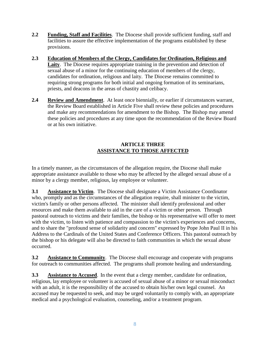- **2.2 Funding, Staff and Facilities**. The Diocese shall provide sufficient funding, staff and facilities to assure the effective implementation of the programs established by these provisions.
- **2.3 Education of Members of the Clergy, Candidates for Ordination, Religious and**  Laity. The Diocese requires appropriate training in the prevention and detection of sexual abuse of a minor for the continuing education of members of the clergy, candidates for ordination, religious and laity. The Diocese remains committed to requiring strong programs for both initial and ongoing formation of its seminarians, priests, and deacons in the areas of chastity and celibacy.
- **2.4 Review and Amendment**. At least once biennially, or earlier if circumstances warrant, the Review Board established in Article Five shall review these policies and procedures and make any recommendations for amendment to the Bishop. The Bishop may amend these policies and procedures at any time upon the recommendation of the Review Board or at his own initiative.

#### **ARTICLE THREE ASSISTANCE TO THOSE AFFECTED**

In a timely manner, as the circumstances of the allegation require, the Diocese shall make appropriate assistance available to those who may be affected by the alleged sexual abuse of a minor by a clergy member, religious, lay employee or volunteer.

**3.1 Assistance to Victim**. The Diocese shall designate a Victim Assistance Coordinator who, promptly and as the circumstances of the allegation require, shall minister to the victim, victim's family or other persons affected. The minister shall identify professional and other resources and make them available to aid in the care of a victim or other person. Through pastoral outreach to victims and their families, the bishop or his representative will offer to meet with the victim, to listen with patience and compassion to the victim's experiences and concerns, and to share the "profound sense of solidarity and concern" expressed by Pope John Paul II in his Address to the Cardinals of the United States and Conference Officers. This pastoral outreach by the bishop or his delegate will also be directed to faith communities in which the sexual abuse occurred.

**3.2 Assistance to Community**. The Diocese shall encourage and cooperate with programs for outreach to communities affected. The programs shall promote healing and understanding.

**3.3 Assistance to Accused**. In the event that a clergy member, candidate for ordination, religious, lay employee or volunteer is accused of sexual abuse of a minor or sexual misconduct with an adult, it is the responsibility of the accused to obtain his/her own legal counsel. An accused may be requested to seek, and may be urged voluntarily to comply with, an appropriate medical and a psychological evaluation, counseling, and/or a treatment program.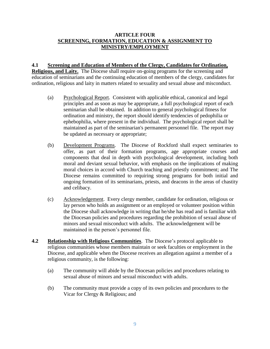#### **ARTICLE FOUR SCREENING, FORMATION, EDUCATION & ASSIGNMENT TO MINISTRY/EMPLOYMENT**

#### **4.1 Screening and Education of Members of the Clergy, Candidates for Ordination,**

**Religious, and Laity.** The Diocese shall require on-going programs for the screening and education of seminarians and the continuing education of members of the clergy, candidates for ordination, religious and laity in matters related to sexuality and sexual abuse and misconduct.

- (a) Psychological Report. Consistent with applicable ethical, canonical and legal principles and as soon as may be appropriate, a full psychological report of each seminarian shall be obtained. In addition to general psychological fitness for ordination and ministry, the report should identify tendencies of pedophilia or ephebophilia, where present in the individual. The psychological report shall be maintained as part of the seminarian's permanent personnel file. The report may be updated as necessary or appropriate;
- (b) Development Programs. The Diocese of Rockford shall expect seminaries to offer, as part of their formation programs, age appropriate courses and components that deal in depth with psychological development, including both moral and deviant sexual behavior, with emphasis on the implications of making moral choices in accord with Church teaching and priestly commitment; and The Diocese remains committed to requiring strong programs for both initial and ongoing formation of its seminarians, priests, and deacons in the areas of chastity and celibacy.
- (c) Acknowledgement. Every clergy member, candidate for ordination, religious or lay person who holds an assignment or an employed or volunteer position within the Diocese shall acknowledge in writing that he/she has read and is familiar with the Diocesan policies and procedures regarding the prohibition of sexual abuse of minors and sexual misconduct with adults. The acknowledgement will be maintained in the person's personnel file.
- **4.2 Relationship with Religious Communities**. The Diocese's protocol applicable to religious communities whose members maintain or seek faculties or employment in the Diocese, and applicable when the Diocese receives an allegation against a member of a religious community, is the following:
	- (a) The community will abide by the Diocesan policies and procedures relating to sexual abuse of minors and sexual misconduct with adults.
	- (b) The community must provide a copy of its own policies and procedures to the Vicar for Clergy & Religious; and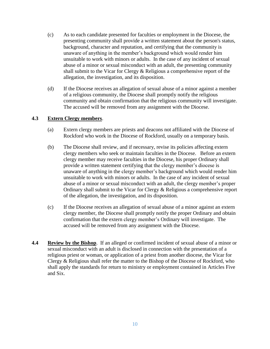- (c) As to each candidate presented for faculties or employment in the Diocese, the presenting community shall provide a written statement about the person's status, background, character and reputation, and certifying that the community is unaware of anything in the member's background which would render him unsuitable to work with minors or adults. In the case of any incident of sexual abuse of a minor or sexual misconduct with an adult, the presenting community shall submit to the Vicar for Clergy & Religious a comprehensive report of the allegation, the investigation, and its disposition.
- (d) If the Diocese receives an allegation of sexual abuse of a minor against a member of a religious community, the Diocese shall promptly notify the religious community and obtain confirmation that the religious community will investigate. The accused will be removed from any assignment with the Diocese.

#### **4.3 Extern Clergy members**.

- (a) Extern clergy members are priests and deacons not affiliated with the Diocese of Rockford who work in the Diocese of Rockford, usually on a temporary basis.
- (b) The Diocese shall review, and if necessary, revise its policies affecting extern clergy members who seek or maintain faculties in the Diocese. Before an extern clergy member may receive faculties in the Diocese, his proper Ordinary shall provide a written statement certifying that the clergy member's diocese is unaware of anything in the clergy member's background which would render him unsuitable to work with minors or adults. In the case of any incident of sexual abuse of a minor or sexual misconduct with an adult, the clergy member's proper Ordinary shall submit to the Vicar for Clergy & Religious a comprehensive report of the allegation, the investigation, and its disposition.
- (c) If the Diocese receives an allegation of sexual abuse of a minor against an extern clergy member, the Diocese shall promptly notify the proper Ordinary and obtain confirmation that the extern clergy member's Ordinary will investigate. The accused will be removed from any assignment with the Diocese.
- **4.4 Review by the Bishop**.If an alleged or confirmed incident of sexual abuse of a minor or sexual misconduct with an adult is disclosed in connection with the presentation of a religious priest or woman, or application of a priest from another diocese, the Vicar for Clergy & Religious shall refer the matter to the Bishop of the Diocese of Rockford, who shall apply the standards for return to ministry or employment contained in Articles Five and Six.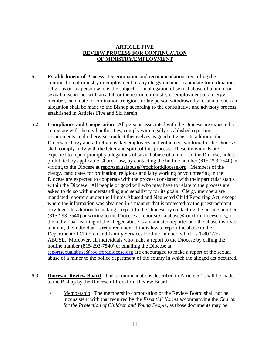#### **ARTICLE FIVE REVIEW PROCESS FOR CONTINUATION OF MINISTRY/EMPLOYMENT**

- **5.1 Establishment of Process**. Determination and recommendations regarding the continuation of ministry or employment of any clergy member, candidate for ordination, religious or lay person who is the subject of an allegation of sexual abuse of a minor or sexual misconduct with an adult or the return to ministry or employment of a clergy member, candidate for ordination, religious or lay person withdrawn by reason of such an allegation shall be made to the Bishop according to the consultative and advisory process established in Articles Five and Six herein.
- **5.2 Compliance and Cooperation**. All persons associated with the Diocese are expected to cooperate with the civil authorities, comply with legally established reporting requirements, and otherwise conduct themselves as good citizens. In addition, the Diocesan clergy and all religious, lay employees and volunteers working for the Diocese shall comply fully with the letter and spirit of this process. These individuals are expected to report promptly allegations of sexual abuse of a minor to the Diocese, unless prohibited by applicable Church law, by contacting the hotline number (815-293-7540) or writing to the Diocese at reportsexualabuse@rockforddiocese.org. Members of the clergy, candidates for ordination, religious and laity working or volunteering in the Diocese are expected to cooperate with the process consistent with their particular status within the Diocese. All people of good will who may have to relate to the process are asked to do so with understanding and sensitivity for its goals. Clergy members are mandated reporters under the Illinois Abused and Neglected Child Reporting Act, except where the information was obtained in a manner that is protected by the priest-penitent privilege. In addition to making a report to the Diocese by contacting the hotline number (815-293-7540) or writing to the Diocese at reportsexualabuse@rockforddiocese.org, if the individual learning of the alleged abuse is a mandated reporter and the abuse involves a minor, the individual is required under Illinois law to report the abuse to the Department of Children and Family Services Hotline number, which is 1-800-25- ABUSE. Moreover, all individuals who make a report to the Diocese by calling the hotline number (815-293-7540) or emailing the Diocese at [reportsexualabuse@rockforddiocese.org](mailto:reportsexualabuse@rockforddiocese.org) are encouraged to make a report of the sexual abuse of a minor to the police department of the county in which the alleged act occurred.
- **5.3 Diocesan Review Board**. The recommendations described in Article 5.1 shall be made to the Bishop by the Diocese of Rockford Review Board:
	- (a) Membership. The membership composition of the Review Board shall not be inconsistent with that required by the *Essential Norms* accompanying the *Charter for the Protection of Children and Young People*, as those documents may be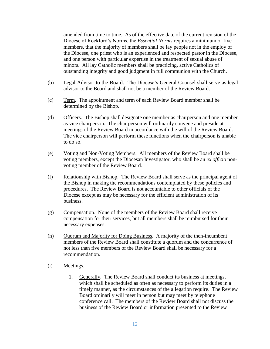amended from time to time. As of the effective date of the current revision of the Diocese of Rockford's Norms, the *Essential Norms* requires a minimum of five members, that the majority of members shall be lay people not in the employ of the Diocese, one priest who is an experienced and respected pastor in the Diocese, and one person with particular expertise in the treatment of sexual abuse of minors. All lay Catholic members shall be practicing, active Catholics of outstanding integrity and good judgment in full communion with the Church.

- (b) Legal Advisor to the Board. The Diocese's General Counsel shall serve as legal advisor to the Board and shall not be a member of the Review Board.
- (c) Term. The appointment and term of each Review Board member shall be determined by the Bishop.
- (d) Officers. The Bishop shall designate one member as chairperson and one member as vice chairperson. The chairperson will ordinarily convene and preside at meetings of the Review Board in accordance with the will of the Review Board. The vice chairperson will perform these functions when the chairperson is unable to do so.
- (e) Voting and Non-Voting Members. All members of the Review Board shall be voting members, except the Diocesan Investigator, who shall be an *ex officio* nonvoting member of the Review Board.
- (f) Relationship with Bishop. The Review Board shall serve as the principal agent of the Bishop in making the recommendations contemplated by these policies and procedures. The Review Board is not accountable to other officials of the Diocese except as may be necessary for the efficient administration of its business.
- (g) Compensation. None of the members of the Review Board shall receive compensation for their services, but all members shall be reimbursed for their necessary expenses.
- (h) Ouorum and Majority fo<u>r Doing Business</u>. A majority of the then-incumbent members of the Review Board shall constitute a quorum and the concurrence of not less than five members of the Review Board shall be necessary for a recommendation.
- (i) Meetings.
	- 1. Generally. The Review Board shall conduct its business at meetings, which shall be scheduled as often as necessary to perform its duties in a timely manner, as the circumstances of the allegation require. The Review Board ordinarily will meet in person but may meet by telephone conference call. The members of the Review Board shall not discuss the business of the Review Board or information presented to the Review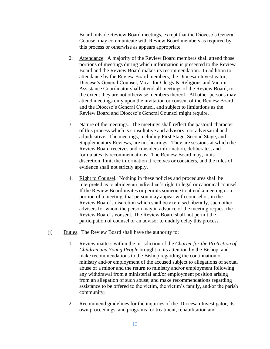Board outside Review Board meetings, except that the Diocese's General Counsel may communicate with Review Board members as required by this process or otherwise as appears appropriate.

- 2. Attendance. A majority of the Review Board members shall attend those portions of meetings during which information is presented to the Review Board and the Review Board makes its recommendation. In addition to attendance by the Review Board members, the Diocesan Investigator, Diocese's General Counsel, Vicar for Clergy & Religious and Victim Assistance Coordinator shall attend all meetings of the Review Board, to the extent they are not otherwise members thereof. All other persons may attend meetings only upon the invitation or consent of the Review Board and the Diocese's General Counsel, and subject to limitations as the Review Board and Diocese's General Counsel might require.
- 3. Nature of the meetings. The meetings shall reflect the pastoral character of this process which is consultative and advisory, not adversarial and adjudicative. The meetings, including First Stage, Second Stage, and Supplementary Reviews, are not hearings. They are sessions at which the Review Board receives and considers information, deliberates, and formulates its recommendations. The Review Board may, in its discretion, limit the information it receives or considers, and the rules of evidence shall not strictly apply.
- 4. Right to Counsel. Nothing in these policies and procedures shall be interpreted as to abridge an individual's right to legal or canonical counsel. If the Review Board invites or permits someone to attend a meeting or a portion of a meeting, that person may appear with counsel or, in the Review Board's discretion which shall be exercised liberally, such other advisers for whom the person may in advance of the meeting request the Review Board's consent. The Review Board shall not permit the participation of counsel or an advisor to unduly delay this process.
- (j) Duties. The Review Board shall have the authority to:
	- 1. Review matters within the jurisdiction of the *Charter for the Protection of Children and Young People* brought to its attention by the Bishop and make recommendations to the Bishop regarding the continuation of ministry and/or employment of the accused subject to allegations of sexual abuse of a minor and the return to ministry and/or employment following any withdrawal from a ministerial and/or employment position arising from an allegation of such abuse; and make recommendations regarding assistance to be offered to the victim, the victim's family, and/or the parish community;
	- 2. Recommend guidelines for the inquiries of the Diocesan Investigator, its own proceedings, and programs for treatment, rehabilitation and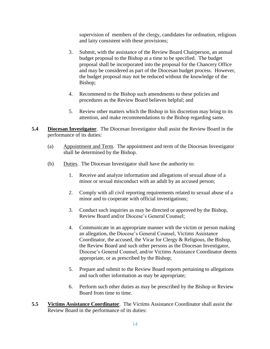supervision of members of the clergy, candidates for ordination, religious and laity consistent with these provisions;

- 3. Submit, with the assistance of the Review Board Chairperson, an annual budget proposal to the Bishop at a time to be specified. The budget proposal shall be incorporated into the proposal for the Chancery Office and may be considered as part of the Diocesan budget process. However, the budget proposal may not be reduced without the knowledge of the Bishop;
- 4. Recommend to the Bishop such amendments to these policies and procedures as the Review Board believes helpful; and
- 5. Review other matters which the Bishop in his discretion may bring to its attention, and make recommendations to the Bishop regarding same.
- **5.4 Diocesan Investigator**. The Diocesan Investigator shall assist the Review Board in the performance of its duties:
	- (a) Appointment and Term. The appointment and term of the Diocesan Investigator shall be determined by the Bishop.
	- (b) Duties. The Diocesan Investigator shall have the authority to:
		- 1. Receive and analyze information and allegations of sexual abuse of a minor or sexual misconduct with an adult by an accused person;
		- 2. Comply with all civil reporting requirements related to sexual abuse of a minor and to cooperate with official investigations;
		- 3. Conduct such inquiries as may be directed or approved by the Bishop, Review Board and/or Diocese's General Counsel;
		- 4. Communicate in an appropriate manner with the victim or person making an allegation, the Diocese's General Counsel, Victims Assistance Coordinator, the accused, the Vicar for Clergy & Religious, the Bishop, the Review Board and such other persons as the Diocesan Investigator, Diocese's General Counsel, and/or Victims Assistance Coordinator deems appropriate, or as prescribed by the Bishop;
		- 5. Prepare and submit to the Review Board reports pertaining to allegations and such other information as may be appropriate;
		- 6. Perform such other duties as may be prescribed by the Bishop or Review Board from time to time.
- **5.5 Victims Assistance Coordinator**. The Victims Assistance Coordinator shall assist the Review Board in the performance of its duties: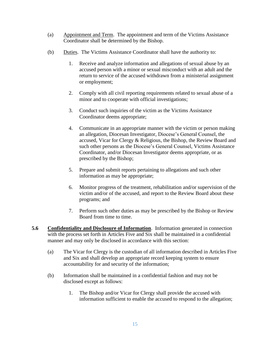- (a) Appointment and Term. The appointment and term of the Victims Assistance Coordinator shall be determined by the Bishop.
- (b) Duties. The Victims Assistance Coordinator shall have the authority to:
	- 1. Receive and analyze information and allegations of sexual abuse by an accused person with a minor or sexual misconduct with an adult and the return to service of the accused withdrawn from a ministerial assignment or employment;
	- 2. Comply with all civil reporting requirements related to sexual abuse of a minor and to cooperate with official investigations;
	- 3. Conduct such inquiries of the victim as the Victims Assistance Coordinator deems appropriate;
	- 4. Communicate in an appropriate manner with the victim or person making an allegation, Diocesan Investigator, Diocese's General Counsel, the accused, Vicar for Clergy & Religious, the Bishop, the Review Board and such other persons as the Diocese's General Counsel, Victims Assistance Coordinator, and/or Diocesan Investigator deems appropriate, or as prescribed by the Bishop;
	- 5. Prepare and submit reports pertaining to allegations and such other information as may be appropriate;
	- 6. Monitor progress of the treatment, rehabilitation and/or supervision of the victim and/or of the accused, and report to the Review Board about these programs; and
	- 7. Perform such other duties as may be prescribed by the Bishop or Review Board from time to time.
- **5.6 Confidentiality and Disclosure of Information**. Information generated in connection with the process set forth in Articles Five and Six shall be maintained in a confidential manner and may only be disclosed in accordance with this section:
	- (a) The Vicar for Clergy is the custodian of all information described in Articles Five and Six and shall develop an appropriate record keeping system to ensure accountability for and security of the information;
	- (b) Information shall be maintained in a confidential fashion and may not be disclosed except as follows:
		- 1. The Bishop and/or Vicar for Clergy shall provide the accused with information sufficient to enable the accused to respond to the allegation;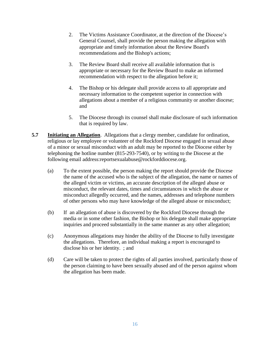- 2. The Victims Assistance Coordinator, at the direction of the Diocese's General Counsel, shall provide the person making the allegation with appropriate and timely information about the Review Board's recommendations and the Bishop's actions;
- 3. The Review Board shall receive all available information that is appropriate or necessary for the Review Board to make an informed recommendation with respect to the allegation before it;
- 4. The Bishop or his delegate shall provide access to all appropriate and necessary information to the competent superior in connection with allegations about a member of a religious community or another diocese; and
- 5. The Diocese through its counsel shall make disclosure of such information that is required by law.
- **5.7 Initiating an Allegation**. Allegations that a clergy member, candidate for ordination, religious or lay employee or volunteer of the Rockford Diocese engaged in sexual abuse of a minor or sexual misconduct with an adult may be reported to the Diocese either by telephoning the hotline number (815-293-7540), or by writing to the Diocese at the following email address:reportsexualabuse@rockforddiocese.org.
	- (a) To the extent possible, the person making the report should provide the Diocese the name of the accused who is the subject of the allegation, the name or names of the alleged victim or victims, an accurate description of the alleged abuse or misconduct, the relevant dates, times and circumstances in which the abuse or misconduct allegedly occurred, and the names, addresses and telephone numbers of other persons who may have knowledge of the alleged abuse or misconduct;
	- (b) If an allegation of abuse is discovered by the Rockford Diocese through the media or in some other fashion, the Bishop or his delegate shall make appropriate inquiries and proceed substantially in the same manner as any other allegation;
	- (c) Anonymous allegations may hinder the ability of the Diocese to fully investigate the allegations. Therefore, an individual making a report is encouraged to disclose his or her identity. ; and
	- (d) Care will be taken to protect the rights of all parties involved, particularly those of the person claiming to have been sexually abused and of the person against whom the allegation has been made.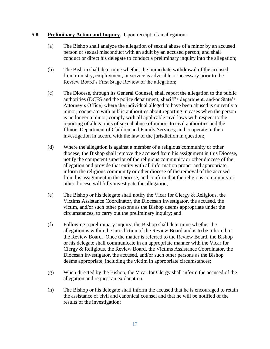#### **5.8 Preliminary Action and Inquiry**. Upon receipt of an allegation:

- (a) The Bishop shall analyze the allegation of sexual abuse of a minor by an accused person or sexual misconduct with an adult by an accused person; and shall conduct or direct his delegate to conduct a preliminary inquiry into the allegation;
- (b) The Bishop shall determine whether the immediate withdrawal of the accused from ministry, employment, or service is advisable or necessary prior to the Review Board's First Stage Review of the allegation;
- (c) The Diocese, through its General Counsel, shall report the allegation to the public authorities (DCFS and the police department, sheriff's department, and/or State's Attorney's Office) where the individual alleged to have been abused is currently a minor; cooperate with public authorities about reporting in cases when the person is no longer a minor; comply with all applicable civil laws with respect to the reporting of allegations of sexual abuse of minors to civil authorities and the Illinois Department of Children and Family Services; and cooperate in their investigation in accord with the law of the jurisdiction in question;
- (d) Where the allegation is against a member of a religious community or other diocese, the Bishop shall remove the accused from his assignment in this Diocese, notify the competent superior of the religious community or other diocese of the allegation and provide that entity with all information proper and appropriate, inform the religious community or other diocese of the removal of the accused from his assignment in the Diocese, and confirm that the religious community or other diocese will fully investigate the allegation;
- (e) The Bishop or his delegate shall notify the Vicar for Clergy & Religious, the Victims Assistance Coordinator, the Diocesan Investigator, the accused, the victim, and/or such other persons as the Bishop deems appropriate under the circumstances, to carry out the preliminary inquiry; and
- (f) Following a preliminary inquiry, the Bishop shall determine whether the allegation is within the jurisdiction of the Review Board and is to be referred to the Review Board. Once the matter is referred to the Review Board, the Bishop or his delegate shall communicate in an appropriate manner with the Vicar for Clergy & Religious, the Review Board, the Victims Assistance Coordinator, the Diocesan Investigator, the accused, and/or such other persons as the Bishop deems appropriate, including the victim in appropriate circumstances;
- (g) When directed by the Bishop, the Vicar for Clergy shall inform the accused of the allegation and request an explanation;
- (h) The Bishop or his delegate shall inform the accused that he is encouraged to retain the assistance of civil and canonical counsel and that he will be notified of the results of the investigation;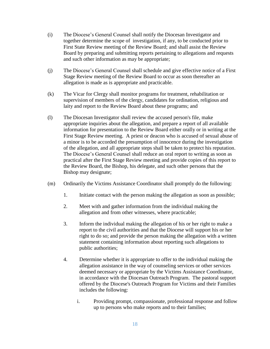- (i) The Diocese's General Counsel shall notify the Diocesan Investigator and together determine the scope of investigation, if any, to be conducted prior to First State Review meeting of the Review Board; and shall assist the Review Board by preparing and submitting reports pertaining to allegations and requests and such other information as may be appropriate;
- (j) The Diocese's General Counsel shall schedule and give effective notice of a First Stage Review meeting of the Review Board to occur as soon thereafter an allegation is made as is appropriate and practicable.
- (k) The Vicar for Clergy shall monitor programs for treatment, rehabilitation or supervision of members of the clergy, candidates for ordination, religious and laity and report to the Review Board about these programs; and
- (l) The Diocesan Investigator shall review the accused person's file, make appropriate inquiries about the allegation, and prepare a report of all available information for presentation to the Review Board either orally or in writing at the First Stage Review meeting. A priest or deacon who is accused of sexual abuse of a minor is to be accorded the presumption of innocence during the investigation of the allegation, and all appropriate steps shall be taken to protect his reputation. The Diocese's General Counsel shall reduce an oral report to writing as soon as practical after the First Stage Review meeting and provide copies of this report to the Review Board, the Bishop, his delegate, and such other persons that the Bishop may designate;
- (m) Ordinarily the Victims Assistance Coordinator shall promptly do the following:
	- 1. Initiate contact with the person making the allegation as soon as possible;
	- 2. Meet with and gather information from the individual making the allegation and from other witnesses, where practicable;
	- 3. Inform the individual making the allegation of his or her right to make a report to the civil authorities and that the Diocese will support his or her right to do so; and provide the person making the allegation with a written statement containing information about reporting such allegations to public authorities;
	- 4. Determine whether it is appropriate to offer to the individual making the allegation assistance in the way of counseling services or other services deemed necessary or appropriate by the Victims Assistance Coordinator, in accordance with the Diocesan Outreach Program. The pastoral support offered by the Diocese's Outreach Program for Victims and their Families includes the following:
		- i. Providing prompt, compassionate, professional response and follow up to persons who make reports and to their families;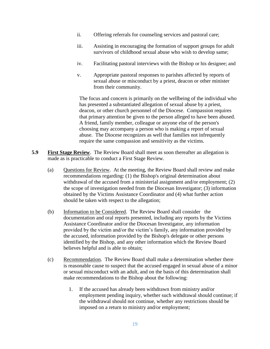- ii. Offering referrals for counseling services and pastoral care;
- iii. Assisting in encouraging the formation of support groups for adult survivors of childhood sexual abuse who wish to develop same;
- iv. Facilitating pastoral interviews with the Bishop or his designee; and
- v. Appropriate pastoral responses to parishes affected by reports of sexual abuse or misconduct by a priest, deacon or other minister from their community.

The focus and concern is primarily on the wellbeing of the individual who has presented a substantiated allegation of sexual abuse by a priest, deacon, or other church personnel of the Diocese. Compassion requires that primary attention be given to the person alleged to have been abused. A friend, family member, colleague or anyone else of the person's choosing may accompany a person who is making a report of sexual abuse. The Diocese recognizes as well that families not infrequently require the same compassion and sensitivity as the victims.

- **5.9 First Stage Review**. The Review Board shall meet as soon thereafter an allegation is made as is practicable to conduct a First Stage Review.
	- (a) Questions for Review. At the meeting, the Review Board shall review and make recommendations regarding: (1) the Bishop's original determination about withdrawal of the accused from a ministerial assignment and/or employment; (2) the scope of investigation needed from the Diocesan Investigator; (3) information obtained by the Victims Assistance Coordinator and (4) what further action should be taken with respect to the allegation;
	- (b) Information to be Considered. The Review Board shall consider the documentation and oral reports presented, including any reports by the Victims Assistance Coordinator and/or the Diocesan Investigator, any information provided by the victim and/or the victim's family, any information provided by the accused, information provided by the Bishop's delegate or other persons identified by the Bishop, and any other information which the Review Board believes helpful and is able to obtain;
	- (c) Recommendation. The Review Board shall make a determination whether there is reasonable cause to suspect that the accused engaged in sexual abuse of a minor or sexual misconduct with an adult, and on the basis of this determination shall make recommendations to the Bishop about the following:
		- 1. If the accused has already been withdrawn from ministry and/or employment pending inquiry, whether such withdrawal should continue; if the withdrawal should not continue, whether any restrictions should be imposed on a return to ministry and/or employment;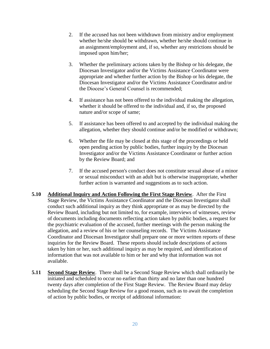- 2. If the accused has not been withdrawn from ministry and/or employment whether he/she should be withdrawn, whether he/she should continue in an assignment/employment and, if so, whether any restrictions should be imposed upon him/her;
- 3. Whether the preliminary actions taken by the Bishop or his delegate, the Diocesan Investigator and/or the Victims Assistance Coordinator were appropriate and whether further action by the Bishop or his delegate, the Diocesan Investigator and/or the Victims Assistance Coordinator and/or the Diocese's General Counsel is recommended;
- 4. If assistance has not been offered to the individual making the allegation, whether it should be offered to the individual and, if so, the proposed nature and/or scope of same;
- 5. If assistance has been offered to and accepted by the individual making the allegation, whether they should continue and/or be modified or withdrawn;
- 6. Whether the file may be closed at this stage of the proceedings or held open pending action by public bodies, further inquiry by the Diocesan Investigator and/or the Victims Assistance Coordinator or further action by the Review Board; and
- 7. If the accused person's conduct does not constitute sexual abuse of a minor or sexual misconduct with an adult but is otherwise inappropriate, whether further action is warranted and suggestions as to such action.
- **5.10 Additional Inquiry and Action Following the First Stage Review**. After the First Stage Review, the Victims Assistance Coordinator and the Diocesan Investigator shall conduct such additional inquiry as they think appropriate or as may be directed by the Review Board, including but not limited to, for example, interviews of witnesses, review of documents including documents reflecting action taken by public bodies, a request for the psychiatric evaluation of the accused, further meetings with the person making the allegation, and a review of his or her counseling records. The Victims Assistance Coordinator and Diocesan Investigator shall prepare one or more written reports of these inquiries for the Review Board. These reports should include descriptions of actions taken by him or her, such additional inquiry as may be required, and identification of information that was not available to him or her and why that information was not available.
- **5.11** Second Stage Review. There shall be a Second Stage Review which shall ordinarily be initiated and scheduled to occur no earlier than thirty and no later than one hundred twenty days after completion of the First Stage Review. The Review Board may delay scheduling the Second Stage Review for a good reason, such as to await the completion of action by public bodies, or receipt of additional information: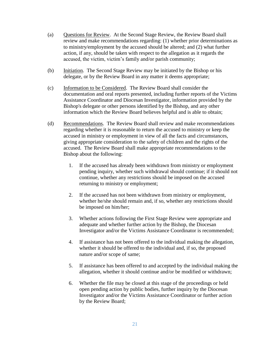- (a) Questions for Review. At the Second Stage Review, the Review Board shall review and make recommendations regarding: (1) whether prior determinations as to ministry/employment by the accused should be altered; and (2) what further action, if any, should be taken with respect to the allegation as it regards the accused, the victim, victim's family and/or parish community;
- (b) Initiation. The Second Stage Review may be initiated by the Bishop or his delegate, or by the Review Board in any matter it deems appropriate;
- (c) Information to be Considered. The Review Board shall consider the documentation and oral reports presented, including further reports of the Victims Assistance Coordinator and Diocesan Investigator, information provided by the Bishop's delegate or other persons identified by the Bishop, and any other information which the Review Board believes helpful and is able to obtain;
- (d) Recommendations. The Review Board shall review and make recommendations regarding whether it is reasonable to return the accused to ministry or keep the accused in ministry or employment in view of all the facts and circumstances, giving appropriate consideration to the safety of children and the rights of the accused. The Review Board shall make appropriate recommendations to the Bishop about the following:
	- 1. If the accused has already been withdrawn from ministry or employment pending inquiry, whether such withdrawal should continue; if it should not continue, whether any restrictions should be imposed on the accused returning to ministry or employment;
	- 2. If the accused has not been withdrawn from ministry or employment, whether he/she should remain and, if so, whether any restrictions should be imposed on him/her;
	- 3. Whether actions following the First Stage Review were appropriate and adequate and whether further action by the Bishop, the Diocesan Investigator and/or the Victims Assistance Coordinator is recommended;
	- 4. If assistance has not been offered to the individual making the allegation, whether it should be offered to the individual and, if so, the proposed nature and/or scope of same;
	- 5. If assistance has been offered to and accepted by the individual making the allegation, whether it should continue and/or be modified or withdrawn;
	- 6. Whether the file may be closed at this stage of the proceedings or held open pending action by public bodies, further inquiry by the Diocesan Investigator and/or the Victims Assistance Coordinator or further action by the Review Board;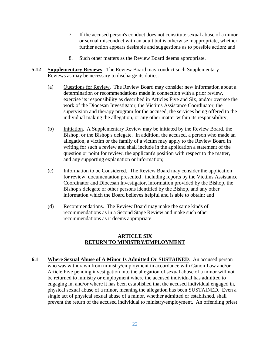- 7. If the accused person's conduct does not constitute sexual abuse of a minor or sexual misconduct with an adult but is otherwise inappropriate, whether further action appears desirable and suggestions as to possible action; and
- 8. Such other matters as the Review Board deems appropriate.
- **5.12 Supplementary Reviews**. The Review Board may conduct such Supplementary Reviews as may be necessary to discharge its duties:
	- (a) Questions for Review. The Review Board may consider new information about a determination or recommendations made in connection with a prior review, exercise its responsibility as described in Articles Five and Six, and/or oversee the work of the Diocesan Investigator, the Victims Assistance Coordinator, the supervision and therapy program for the accused, the services being offered to the individual making the allegation, or any other matter within its responsibility;
	- (b) Initiation. A Supplementary Review may be initiated by the Review Board, the Bishop, or the Bishop's delegate. In addition, the accused, a person who made an allegation, a victim or the family of a victim may apply to the Review Board in writing for such a review and shall include in the application a statement of the question or point for review, the applicant's position with respect to the matter, and any supporting explanation or information;
	- (c) Information to be Considered. The Review Board may consider the application for review, documentation presented , including reports by the Victims Assistance Coordinator and Diocesan Investigator, information provided by the Bishop, the Bishop's delegate or other persons identified by the Bishop, and any other information which the Board believes helpful and is able to obtain; and
	- (d) Recommendations. The Review Board may make the same kinds of recommendations as in a Second Stage Review and make such other recommendations as it deems appropriate.

#### **ARTICLE SIX RETURN TO MINISTRY/EMPLOYMENT**

**6.1 Where Sexual Abuse of A Minor Is Admitted Or SUSTAINED**. An accused person who was withdrawn from ministry/employment in accordance with Canon Law and/or Article Five pending investigation into the allegation of sexual abuse of a minor will not be returned to ministry or employment where the accused individual has admitted to engaging in, and/or where it has been established that the accused individual engaged in, physical sexual abuse of a minor, meaning the allegation has been SUSTAINED. Even a single act of physical sexual abuse of a minor, whether admitted or established, shall prevent the return of the accused individual to ministry/employment. An offending priest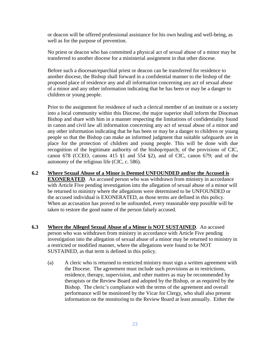or deacon will be offered professional assistance for his own healing and well-being, as well as for the purpose of prevention.

No priest or deacon who has committed a physical act of sexual abuse of a minor may be transferred to another diocese for a ministerial assignment in that other diocese.

Before such a diocesan/eparchial priest or deacon can be transferred for residence to another diocese, the Bishop shall forward in a confidential manner to the bishop of the proposed place of residence any and all information concerning any act of sexual abuse of a minor and any other information indicating that he has been or may be a danger to children or young people.

Prior to the assignment for residence of such a clerical member of an institute or a society into a local community within this Diocese, the major superior shall inform the Diocesan Bishop and share with him in a manner respecting the limitations of confidentiality found in canon and civil law all information concerning any act of sexual abuse of a minor and any other information indicating that he has been or may be a danger to children or young people so that the Bishop can make an informed judgment that suitable safeguards are in place for the protection of children and young people. This will be done with due recognition of the legitimate authority of the bishop/eparch; of the provisions of CIC, canon 678 (CCEO, canons 415 §1 and 554 §2), and of CIC, canon 679; and of the autonomy of the religious life (CIC, c. 586).

- **6.2 Where Sexual Abuse of a Minor is Deemed UNFOUNDED and/or the Accused is EXONERATED.** An accused person who was withdrawn from ministry in accordance with Article Five pending investigation into the allegation of sexual abuse of a minor will be returned to ministry where the allegations were determined to be UNFOUNDED or the accused individual is EXONERATED, as those terms are defined in this policy. When an accusation has proved to be unfounded, every reasonable step possible will be taken to restore the good name of the person falsely accused.
- **6.3 Where the Alleged Sexual Abuse of a Minor is NOT SUSTAINED**. An accused person who was withdrawn from ministry in accordance with Article Five pending investigation into the allegation of sexual abuse of a minor may be returned to ministry in a restricted or modified manner, where the allegations were found to be NOT SUSTAINED, as that term is defined in this policy.
	- (a) A cleric who is returned to restricted ministry must sign a written agreement with the Diocese. The agreement must include such provisions as to restrictions, residence, therapy, supervision, and other matters as may be recommended by therapists or the Review Board and adopted by the Bishop, or as required by the Bishop. The cleric's compliance with the terms of the agreement and overall performance will be monitored by the Vicar for Clergy, who shall also present information on the monitoring to the Review Board at least annually. Either the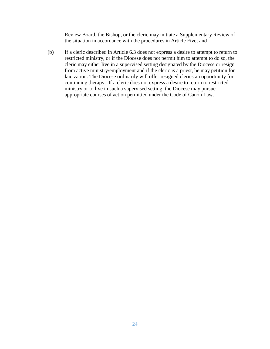Review Board, the Bishop, or the cleric may initiate a Supplementary Review of the situation in accordance with the procedures in Article Five; and

(b) If a cleric described in Article 6.3 does not express a desire to attempt to return to restricted ministry, or if the Diocese does not permit him to attempt to do so, the cleric may either live in a supervised setting designated by the Diocese or resign from active ministry/employment and if the cleric is a priest, he may petition for laicization. The Diocese ordinarily will offer resigned clerics an opportunity for continuing therapy. If a cleric does not express a desire to return to restricted ministry or to live in such a supervised setting, the Diocese may pursue appropriate courses of action permitted under the Code of Canon Law.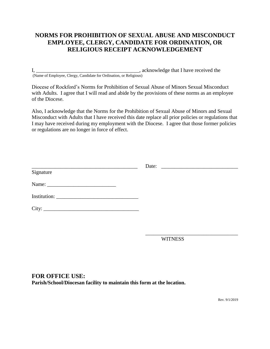## **NORMS FOR PROHIBITION OF SEXUAL ABUSE AND MISCONDUCT EMPLOYEE, CLERGY, CANDIDATE FOR ORDINATION, OR RELIGIOUS RECEIPT ACKNOWLEDGEMENT**

I, \_\_\_\_\_\_\_\_\_\_\_\_\_\_\_\_\_\_\_\_\_\_\_\_\_\_\_\_\_\_\_\_\_\_\_\_\_\_\_, acknowledge that I have received the (Name of Employee, Clergy, Candidate for Ordination, or Religious)

Diocese of Rockford's Norms for Prohibition of Sexual Abuse of Minors Sexual Misconduct with Adults. I agree that I will read and abide by the provisions of these norms as an employee of the Diocese.

Also, I acknowledge that the Norms for the Prohibition of Sexual Abuse of Minors and Sexual Misconduct with Adults that I have received this date replace all prior policies or regulations that I may have received during my employment with the Diocese. I agree that those former policies or regulations are no longer in force of effect.

| Signature |  |
|-----------|--|
|           |  |
|           |  |
| City:     |  |
|           |  |

**WITNESS** 

\_\_\_\_\_\_\_\_\_\_\_\_\_\_\_\_\_\_\_\_\_\_\_\_\_\_\_\_\_\_\_\_\_\_\_

### **FOR OFFICE USE: Parish/School/Diocesan facility to maintain this form at the location.**

Rev. 9/1/2019